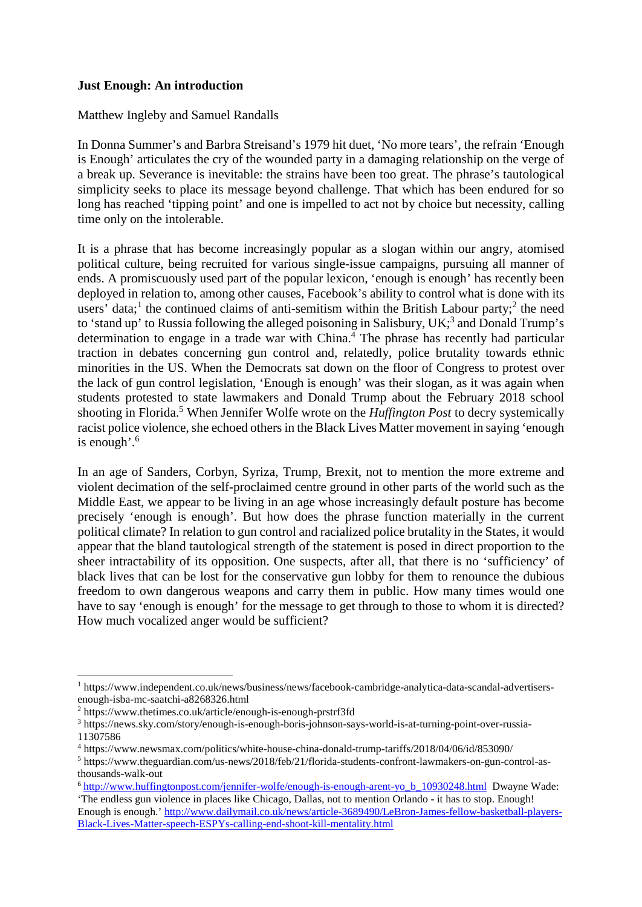## **Just Enough: An introduction**

Matthew Ingleby and Samuel Randalls

In Donna Summer's and Barbra Streisand's 1979 hit duet, 'No more tears', the refrain 'Enough is Enough' articulates the cry of the wounded party in a damaging relationship on the verge of a break up. Severance is inevitable: the strains have been too great. The phrase's tautological simplicity seeks to place its message beyond challenge. That which has been endured for so long has reached 'tipping point' and one is impelled to act not by choice but necessity, calling time only on the intolerable.

It is a phrase that has become increasingly popular as a slogan within our angry, atomised political culture, being recruited for various single-issue campaigns, pursuing all manner of ends. A promiscuously used part of the popular lexicon, 'enough is enough' has recently been deployed in relation to, among other causes, Facebook's ability to control what is done with its users' data;<sup>1</sup> the continued claims of anti-semitism within the British Labour party;<sup>2</sup> the need to 'stand up' to Russia following the alleged poisoning in Salisbury,  $UK;3$  and Donald Trump's determination to engage in a trade war with China.<sup>4</sup> The phrase has recently had particular traction in debates concerning gun control and, relatedly, police brutality towards ethnic minorities in the US. When the Democrats sat down on the floor of Congress to protest over the lack of gun control legislation, 'Enough is enough' was their slogan, as it was again when students protested to state lawmakers and Donald Trump about the February 2018 school shooting in Florida.<sup>5</sup> When Jennifer Wolfe wrote on the *Huffington Post* to decry systemically racist police violence, she echoed others in the Black Lives Matter movement in saying 'enough is enough'. $6$ 

In an age of Sanders, Corbyn, Syriza, Trump, Brexit, not to mention the more extreme and violent decimation of the self-proclaimed centre ground in other parts of the world such as the Middle East, we appear to be living in an age whose increasingly default posture has become precisely 'enough is enough'. But how does the phrase function materially in the current political climate? In relation to gun control and racialized police brutality in the States, it would appear that the bland tautological strength of the statement is posed in direct proportion to the sheer intractability of its opposition. One suspects, after all, that there is no 'sufficiency' of black lives that can be lost for the conservative gun lobby for them to renounce the dubious freedom to own dangerous weapons and carry them in public. How many times would one have to say 'enough is enough' for the message to get through to those to whom it is directed? How much vocalized anger would be sufficient?

<u>.</u>

<sup>1</sup> https://www.independent.co.uk/news/business/news/facebook-cambridge-analytica-data-scandal-advertisersenough-isba-mc-saatchi-a8268326.html

<sup>2</sup> https://www.thetimes.co.uk/article/enough-is-enough-prstrf3fd

<sup>3</sup> https://news.sky.com/story/enough-is-enough-boris-johnson-says-world-is-at-turning-point-over-russia-11307586

<sup>4</sup> https://www.newsmax.com/politics/white-house-china-donald-trump-tariffs/2018/04/06/id/853090/

<sup>5</sup> https://www.theguardian.com/us-news/2018/feb/21/florida-students-confront-lawmakers-on-gun-control-asthousands-walk-out

<sup>6</sup> [http://www.huffingtonpost.com/jennifer-wolfe/enough-is-enough-arent-yo\\_b\\_10930248.html](http://www.huffingtonpost.com/jennifer-wolfe/enough-is-enough-arent-yo_b_10930248.html) Dwayne Wade: 'The endless gun violence in places like Chicago, Dallas, not to mention Orlando - it has to stop. Enough! Enough is enough.' [http://www.dailymail.co.uk/news/article-3689490/LeBron-James-fellow-basketball-players-](http://www.dailymail.co.uk/news/article-3689490/LeBron-James-fellow-basketball-players-Black-Lives-Matter-speech-ESPYs-calling-end-shoot-kill-mentality.html)[Black-Lives-Matter-speech-ESPYs-calling-end-shoot-kill-mentality.html](http://www.dailymail.co.uk/news/article-3689490/LeBron-James-fellow-basketball-players-Black-Lives-Matter-speech-ESPYs-calling-end-shoot-kill-mentality.html)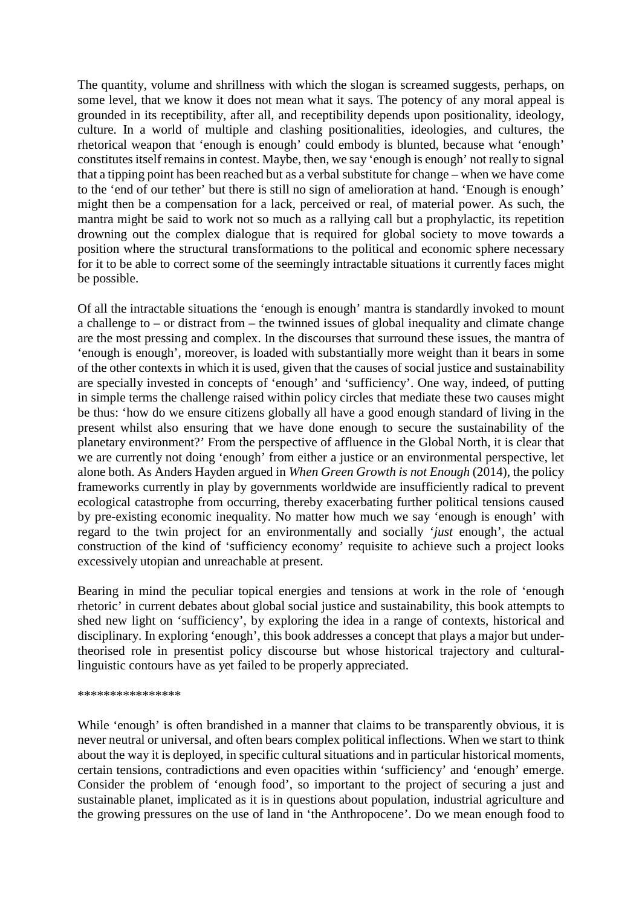The quantity, volume and shrillness with which the slogan is screamed suggests, perhaps, on some level, that we know it does not mean what it says. The potency of any moral appeal is grounded in its receptibility, after all, and receptibility depends upon positionality, ideology, culture. In a world of multiple and clashing positionalities, ideologies, and cultures, the rhetorical weapon that 'enough is enough' could embody is blunted, because what 'enough' constitutes itself remains in contest. Maybe, then, we say 'enough is enough' not really to signal that a tipping point has been reached but as a verbal substitute for change – when we have come to the 'end of our tether' but there is still no sign of amelioration at hand. 'Enough is enough' might then be a compensation for a lack, perceived or real, of material power. As such, the mantra might be said to work not so much as a rallying call but a prophylactic, its repetition drowning out the complex dialogue that is required for global society to move towards a position where the structural transformations to the political and economic sphere necessary for it to be able to correct some of the seemingly intractable situations it currently faces might be possible.

Of all the intractable situations the 'enough is enough' mantra is standardly invoked to mount a challenge to – or distract from – the twinned issues of global inequality and climate change are the most pressing and complex. In the discourses that surround these issues, the mantra of 'enough is enough', moreover, is loaded with substantially more weight than it bears in some of the other contexts in which it is used, given that the causes of social justice and sustainability are specially invested in concepts of 'enough' and 'sufficiency'. One way, indeed, of putting in simple terms the challenge raised within policy circles that mediate these two causes might be thus: 'how do we ensure citizens globally all have a good enough standard of living in the present whilst also ensuring that we have done enough to secure the sustainability of the planetary environment?' From the perspective of affluence in the Global North, it is clear that we are currently not doing 'enough' from either a justice or an environmental perspective, let alone both. As Anders Hayden argued in *When Green Growth is not Enough* (2014), the policy frameworks currently in play by governments worldwide are insufficiently radical to prevent ecological catastrophe from occurring, thereby exacerbating further political tensions caused by pre-existing economic inequality. No matter how much we say 'enough is enough' with regard to the twin project for an environmentally and socially '*just* enough', the actual construction of the kind of 'sufficiency economy' requisite to achieve such a project looks excessively utopian and unreachable at present.

Bearing in mind the peculiar topical energies and tensions at work in the role of 'enough rhetoric' in current debates about global social justice and sustainability, this book attempts to shed new light on 'sufficiency', by exploring the idea in a range of contexts, historical and disciplinary. In exploring 'enough', this book addresses a concept that plays a major but undertheorised role in presentist policy discourse but whose historical trajectory and culturallinguistic contours have as yet failed to be properly appreciated.

\*\*\*\*\*\*\*\*\*\*\*\*\*\*\*\*

While 'enough' is often brandished in a manner that claims to be transparently obvious, it is never neutral or universal, and often bears complex political inflections. When we start to think about the way it is deployed, in specific cultural situations and in particular historical moments, certain tensions, contradictions and even opacities within 'sufficiency' and 'enough' emerge. Consider the problem of 'enough food', so important to the project of securing a just and sustainable planet, implicated as it is in questions about population, industrial agriculture and the growing pressures on the use of land in 'the Anthropocene'. Do we mean enough food to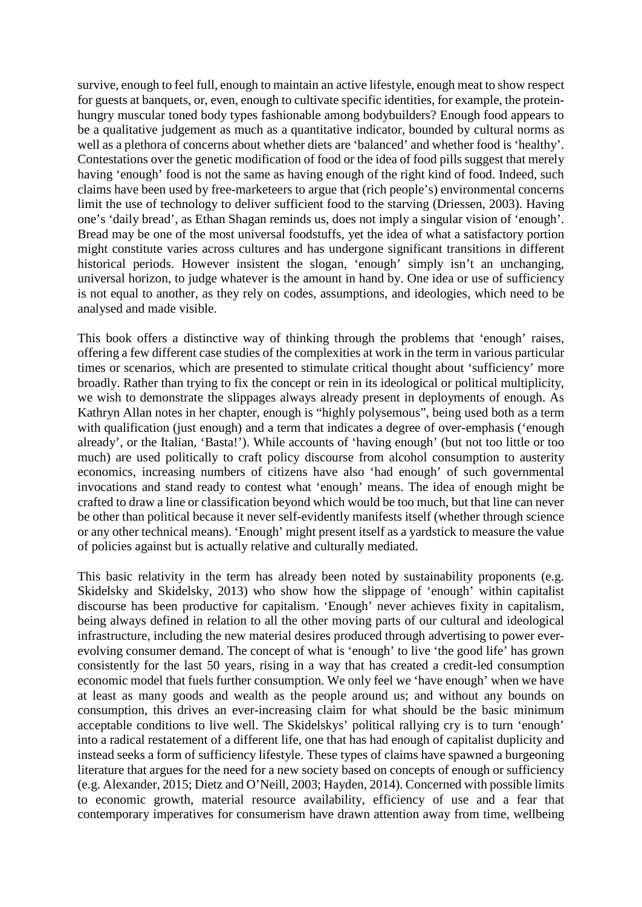survive, enough to feel full, enough to maintain an active lifestyle, enough meat to show respect for guests at banquets, or, even, enough to cultivate specific identities, for example, the proteinhungry muscular toned body types fashionable among bodybuilders? Enough food appears to be a qualitative judgement as much as a quantitative indicator, bounded by cultural norms as well as a plethora of concerns about whether diets are 'balanced' and whether food is 'healthy'. Contestations over the genetic modification of food or the idea of food pills suggest that merely having 'enough' food is not the same as having enough of the right kind of food. Indeed, such claims have been used by free-marketeers to argue that (rich people's) environmental concerns limit the use of technology to deliver sufficient food to the starving (Driessen, 2003). Having one's 'daily bread', as Ethan Shagan reminds us, does not imply a singular vision of 'enough'. Bread may be one of the most universal foodstuffs, yet the idea of what a satisfactory portion might constitute varies across cultures and has undergone significant transitions in different historical periods. However insistent the slogan, 'enough' simply isn't an unchanging, universal horizon, to judge whatever is the amount in hand by. One idea or use of sufficiency is not equal to another, as they rely on codes, assumptions, and ideologies, which need to be analysed and made visible.

This book offers a distinctive way of thinking through the problems that 'enough' raises, offering a few different case studies of the complexities at work in the term in various particular times or scenarios, which are presented to stimulate critical thought about 'sufficiency' more broadly. Rather than trying to fix the concept or rein in its ideological or political multiplicity, we wish to demonstrate the slippages always already present in deployments of enough. As Kathryn Allan notes in her chapter, enough is "highly polysemous", being used both as a term with qualification (just enough) and a term that indicates a degree of over-emphasis ('enough already', or the Italian, 'Basta!'). While accounts of 'having enough' (but not too little or too much) are used politically to craft policy discourse from alcohol consumption to austerity economics, increasing numbers of citizens have also 'had enough' of such governmental invocations and stand ready to contest what 'enough' means. The idea of enough might be crafted to draw a line or classification beyond which would be too much, but that line can never be other than political because it never self-evidently manifests itself (whether through science or any other technical means). 'Enough' might present itself as a yardstick to measure the value of policies against but is actually relative and culturally mediated.

This basic relativity in the term has already been noted by sustainability proponents (e.g. Skidelsky and Skidelsky, 2013) who show how the slippage of 'enough' within capitalist discourse has been productive for capitalism. 'Enough' never achieves fixity in capitalism, being always defined in relation to all the other moving parts of our cultural and ideological infrastructure, including the new material desires produced through advertising to power everevolving consumer demand. The concept of what is 'enough' to live 'the good life' has grown consistently for the last 50 years, rising in a way that has created a credit-led consumption economic model that fuels further consumption. We only feel we 'have enough' when we have at least as many goods and wealth as the people around us; and without any bounds on consumption, this drives an ever-increasing claim for what should be the basic minimum acceptable conditions to live well. The Skidelskys' political rallying cry is to turn 'enough' into a radical restatement of a different life, one that has had enough of capitalist duplicity and instead seeks a form of sufficiency lifestyle. These types of claims have spawned a burgeoning literature that argues for the need for a new society based on concepts of enough or sufficiency (e.g. Alexander, 2015; Dietz and O'Neill, 2003; Hayden, 2014). Concerned with possible limits to economic growth, material resource availability, efficiency of use and a fear that contemporary imperatives for consumerism have drawn attention away from time, wellbeing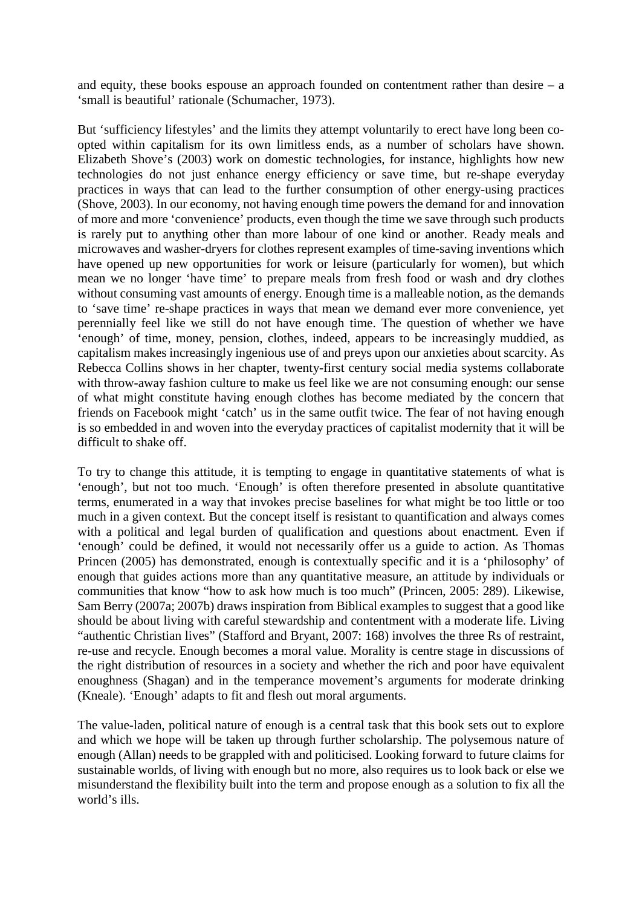and equity, these books espouse an approach founded on contentment rather than desire – a 'small is beautiful' rationale (Schumacher, 1973).

But 'sufficiency lifestyles' and the limits they attempt voluntarily to erect have long been coopted within capitalism for its own limitless ends, as a number of scholars have shown. Elizabeth Shove's (2003) work on domestic technologies, for instance, highlights how new technologies do not just enhance energy efficiency or save time, but re-shape everyday practices in ways that can lead to the further consumption of other energy-using practices (Shove, 2003). In our economy, not having enough time powers the demand for and innovation of more and more 'convenience' products, even though the time we save through such products is rarely put to anything other than more labour of one kind or another. Ready meals and microwaves and washer-dryers for clothes represent examples of time-saving inventions which have opened up new opportunities for work or leisure (particularly for women), but which mean we no longer 'have time' to prepare meals from fresh food or wash and dry clothes without consuming vast amounts of energy. Enough time is a malleable notion, as the demands to 'save time' re-shape practices in ways that mean we demand ever more convenience, yet perennially feel like we still do not have enough time. The question of whether we have 'enough' of time, money, pension, clothes, indeed, appears to be increasingly muddied, as capitalism makes increasingly ingenious use of and preys upon our anxieties about scarcity. As Rebecca Collins shows in her chapter, twenty-first century social media systems collaborate with throw-away fashion culture to make us feel like we are not consuming enough: our sense of what might constitute having enough clothes has become mediated by the concern that friends on Facebook might 'catch' us in the same outfit twice. The fear of not having enough is so embedded in and woven into the everyday practices of capitalist modernity that it will be difficult to shake off.

To try to change this attitude, it is tempting to engage in quantitative statements of what is 'enough', but not too much. 'Enough' is often therefore presented in absolute quantitative terms, enumerated in a way that invokes precise baselines for what might be too little or too much in a given context. But the concept itself is resistant to quantification and always comes with a political and legal burden of qualification and questions about enactment. Even if 'enough' could be defined, it would not necessarily offer us a guide to action. As Thomas Princen (2005) has demonstrated, enough is contextually specific and it is a 'philosophy' of enough that guides actions more than any quantitative measure, an attitude by individuals or communities that know "how to ask how much is too much" (Princen, 2005: 289). Likewise, Sam Berry (2007a; 2007b) draws inspiration from Biblical examples to suggest that a good like should be about living with careful stewardship and contentment with a moderate life. Living "authentic Christian lives" (Stafford and Bryant, 2007: 168) involves the three Rs of restraint, re-use and recycle. Enough becomes a moral value. Morality is centre stage in discussions of the right distribution of resources in a society and whether the rich and poor have equivalent enoughness (Shagan) and in the temperance movement's arguments for moderate drinking (Kneale). 'Enough' adapts to fit and flesh out moral arguments.

The value-laden, political nature of enough is a central task that this book sets out to explore and which we hope will be taken up through further scholarship. The polysemous nature of enough (Allan) needs to be grappled with and politicised. Looking forward to future claims for sustainable worlds, of living with enough but no more, also requires us to look back or else we misunderstand the flexibility built into the term and propose enough as a solution to fix all the world's ills.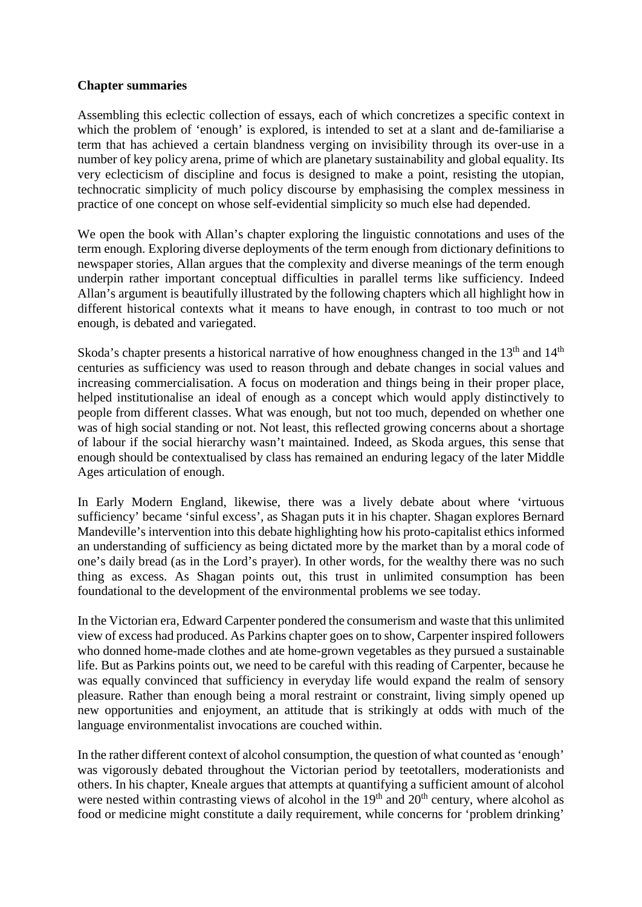## **Chapter summaries**

Assembling this eclectic collection of essays, each of which concretizes a specific context in which the problem of 'enough' is explored, is intended to set at a slant and de-familiarise a term that has achieved a certain blandness verging on invisibility through its over-use in a number of key policy arena, prime of which are planetary sustainability and global equality. Its very eclecticism of discipline and focus is designed to make a point, resisting the utopian, technocratic simplicity of much policy discourse by emphasising the complex messiness in practice of one concept on whose self-evidential simplicity so much else had depended.

We open the book with Allan's chapter exploring the linguistic connotations and uses of the term enough. Exploring diverse deployments of the term enough from dictionary definitions to newspaper stories, Allan argues that the complexity and diverse meanings of the term enough underpin rather important conceptual difficulties in parallel terms like sufficiency. Indeed Allan's argument is beautifully illustrated by the following chapters which all highlight how in different historical contexts what it means to have enough, in contrast to too much or not enough, is debated and variegated.

Skoda's chapter presents a historical narrative of how enoughness changed in the  $13<sup>th</sup>$  and  $14<sup>th</sup>$ centuries as sufficiency was used to reason through and debate changes in social values and increasing commercialisation. A focus on moderation and things being in their proper place, helped institutionalise an ideal of enough as a concept which would apply distinctively to people from different classes. What was enough, but not too much, depended on whether one was of high social standing or not. Not least, this reflected growing concerns about a shortage of labour if the social hierarchy wasn't maintained. Indeed, as Skoda argues, this sense that enough should be contextualised by class has remained an enduring legacy of the later Middle Ages articulation of enough.

In Early Modern England, likewise, there was a lively debate about where 'virtuous sufficiency' became 'sinful excess', as Shagan puts it in his chapter. Shagan explores Bernard Mandeville's intervention into this debate highlighting how his proto-capitalist ethics informed an understanding of sufficiency as being dictated more by the market than by a moral code of one's daily bread (as in the Lord's prayer). In other words, for the wealthy there was no such thing as excess. As Shagan points out, this trust in unlimited consumption has been foundational to the development of the environmental problems we see today.

In the Victorian era, Edward Carpenter pondered the consumerism and waste that this unlimited view of excess had produced. As Parkins chapter goes on to show, Carpenter inspired followers who donned home-made clothes and ate home-grown vegetables as they pursued a sustainable life. But as Parkins points out, we need to be careful with this reading of Carpenter, because he was equally convinced that sufficiency in everyday life would expand the realm of sensory pleasure. Rather than enough being a moral restraint or constraint, living simply opened up new opportunities and enjoyment, an attitude that is strikingly at odds with much of the language environmentalist invocations are couched within.

In the rather different context of alcohol consumption, the question of what counted as 'enough' was vigorously debated throughout the Victorian period by teetotallers, moderationists and others. In his chapter, Kneale argues that attempts at quantifying a sufficient amount of alcohol were nested within contrasting views of alcohol in the  $19<sup>th</sup>$  and  $20<sup>th</sup>$  century, where alcohol as food or medicine might constitute a daily requirement, while concerns for 'problem drinking'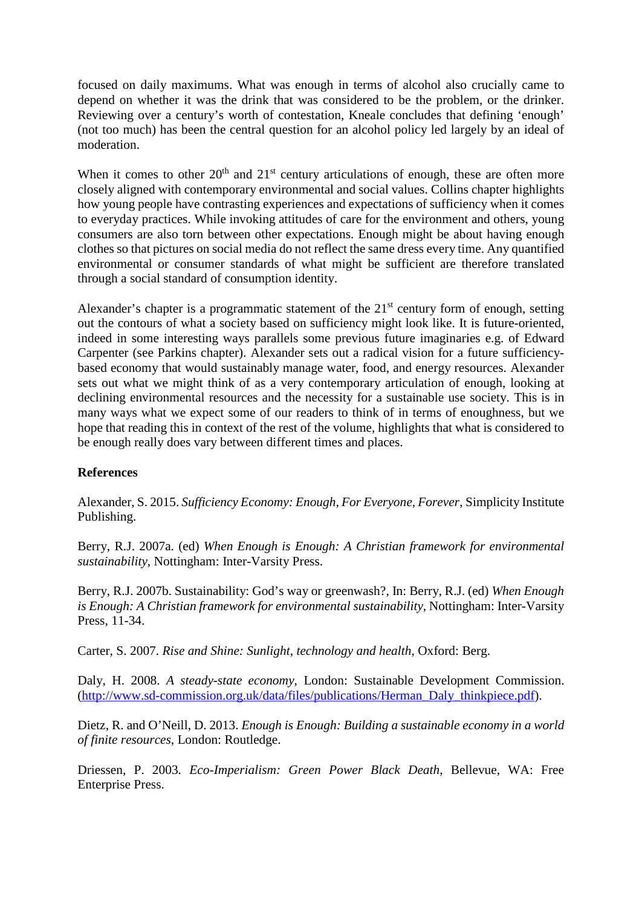focused on daily maximums. What was enough in terms of alcohol also crucially came to depend on whether it was the drink that was considered to be the problem, or the drinker. Reviewing over a century's worth of contestation, Kneale concludes that defining 'enough' (not too much) has been the central question for an alcohol policy led largely by an ideal of moderation.

When it comes to other  $20<sup>th</sup>$  and  $21<sup>st</sup>$  century articulations of enough, these are often more closely aligned with contemporary environmental and social values. Collins chapter highlights how young people have contrasting experiences and expectations of sufficiency when it comes to everyday practices. While invoking attitudes of care for the environment and others, young consumers are also torn between other expectations. Enough might be about having enough clothes so that pictures on social media do not reflect the same dress every time. Any quantified environmental or consumer standards of what might be sufficient are therefore translated through a social standard of consumption identity.

Alexander's chapter is a programmatic statement of the  $21<sup>st</sup>$  century form of enough, setting out the contours of what a society based on sufficiency might look like. It is future-oriented, indeed in some interesting ways parallels some previous future imaginaries e.g. of Edward Carpenter (see Parkins chapter). Alexander sets out a radical vision for a future sufficiencybased economy that would sustainably manage water, food, and energy resources. Alexander sets out what we might think of as a very contemporary articulation of enough, looking at declining environmental resources and the necessity for a sustainable use society. This is in many ways what we expect some of our readers to think of in terms of enoughness, but we hope that reading this in context of the rest of the volume, highlights that what is considered to be enough really does vary between different times and places.

## **References**

Alexander, S. 2015. *Sufficiency Economy: Enough, For Everyone, Forever*, Simplicity Institute Publishing.

Berry, R.J. 2007a. (ed) *When Enough is Enough: A Christian framework for environmental sustainability*, Nottingham: Inter-Varsity Press.

Berry, R.J. 2007b. Sustainability: God's way or greenwash?, In: Berry, R.J. (ed) *When Enough is Enough: A Christian framework for environmental sustainability*, Nottingham: Inter-Varsity Press, 11-34.

Carter, S. 2007. *Rise and Shine: Sunlight, technology and health*, Oxford: Berg.

Daly, H. 2008. *A steady-state economy*, London: Sustainable Development Commission. [\(http://www.sd-commission.org.uk/data/files/publications/Herman\\_Daly\\_thinkpiece.pdf\)](http://www.sd-commission.org.uk/data/files/publications/Herman_Daly_thinkpiece.pdf).

Dietz, R. and O'Neill, D. 2013. *Enough is Enough: Building a sustainable economy in a world of finite resources*, London: Routledge.

Driessen, P. 2003. *Eco-Imperialism: Green Power Black Death*, Bellevue, WA: Free Enterprise Press.